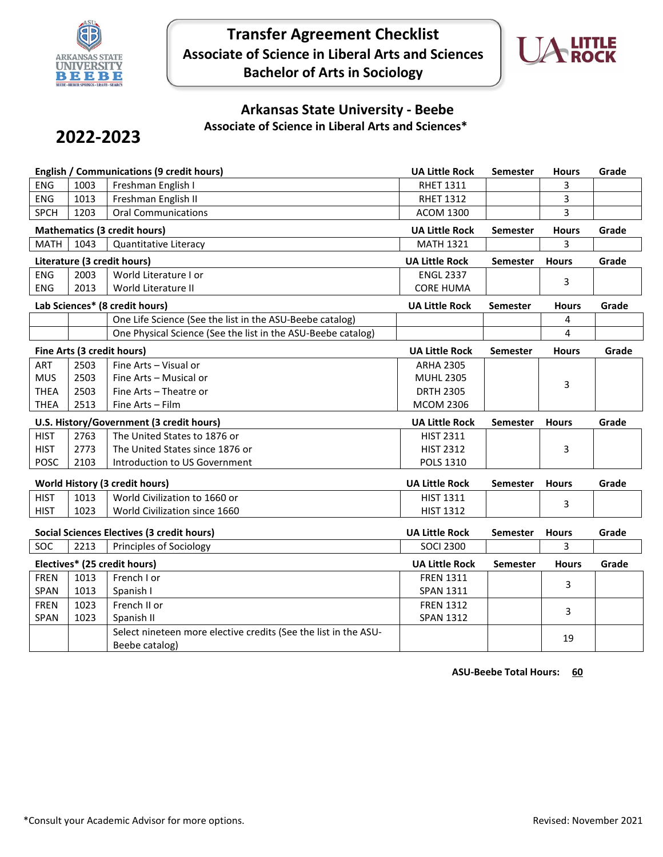

**Transfer Agreement Checklist Associate of Science in Liberal Arts and Sciences Bachelor of Arts in Sociology**



## **Arkansas State University - Beebe Associate of Science in Liberal Arts and Sciences\***

## **2022-2023**

| <b>English / Communications (9 credit hours)</b> |              |                                                                                   | <b>UA Little Rock</b>                | Semester        | <b>Hours</b> | Grade |
|--------------------------------------------------|--------------|-----------------------------------------------------------------------------------|--------------------------------------|-----------------|--------------|-------|
| <b>ENG</b>                                       | 1003         | Freshman English I                                                                | <b>RHET 1311</b>                     |                 | 3            |       |
| <b>ENG</b>                                       | 1013         | Freshman English II                                                               | <b>RHET 1312</b>                     |                 | 3            |       |
| <b>SPCH</b>                                      | 1203         | <b>Oral Communications</b>                                                        | <b>ACOM 1300</b>                     |                 | 3            |       |
|                                                  |              | <b>Mathematics (3 credit hours)</b>                                               | <b>UA Little Rock</b>                | Semester        | <b>Hours</b> | Grade |
| <b>MATH</b>                                      | 1043         | Quantitative Literacy                                                             | <b>MATH 1321</b>                     |                 | 3            |       |
|                                                  |              | Literature (3 credit hours)                                                       | <b>UA Little Rock</b>                | <b>Semester</b> | <b>Hours</b> | Grade |
| <b>ENG</b>                                       | 2003         | World Literature I or                                                             | <b>ENGL 2337</b>                     |                 | 3            |       |
| <b>ENG</b>                                       | 2013         | World Literature II                                                               | <b>CORE HUMA</b>                     |                 |              |       |
|                                                  |              | Lab Sciences* (8 credit hours)                                                    | <b>UA Little Rock</b>                | <b>Semester</b> | <b>Hours</b> | Grade |
|                                                  |              | One Life Science (See the list in the ASU-Beebe catalog)                          |                                      |                 | 4            |       |
|                                                  |              | One Physical Science (See the list in the ASU-Beebe catalog)                      |                                      |                 | 4            |       |
|                                                  |              | Fine Arts (3 credit hours)                                                        | <b>UA Little Rock</b>                | <b>Semester</b> | <b>Hours</b> | Grade |
| ART                                              | 2503         | Fine Arts - Visual or                                                             | <b>ARHA 2305</b>                     |                 |              |       |
| <b>MUS</b>                                       | 2503         | Fine Arts - Musical or                                                            | <b>MUHL 2305</b>                     |                 | 3            |       |
| <b>THEA</b>                                      | 2503         | Fine Arts - Theatre or                                                            | <b>DRTH 2305</b>                     |                 |              |       |
| <b>THEA</b>                                      | 2513         | Fine Arts - Film                                                                  | <b>MCOM 2306</b>                     |                 |              |       |
| U.S. History/Government (3 credit hours)         |              |                                                                                   |                                      |                 |              |       |
|                                                  |              |                                                                                   | <b>UA Little Rock</b>                | <b>Semester</b> | <b>Hours</b> | Grade |
| <b>HIST</b>                                      | 2763         | The United States to 1876 or                                                      | <b>HIST 2311</b>                     |                 |              |       |
| <b>HIST</b>                                      | 2773         | The United States since 1876 or                                                   | <b>HIST 2312</b>                     |                 | 3            |       |
| <b>POSC</b>                                      | 2103         | Introduction to US Government                                                     | <b>POLS 1310</b>                     |                 |              |       |
|                                                  |              |                                                                                   |                                      |                 |              |       |
|                                                  |              | World History (3 credit hours)                                                    | <b>UA Little Rock</b>                | <b>Semester</b> | <b>Hours</b> | Grade |
| <b>HIST</b><br><b>HIST</b>                       | 1013<br>1023 | World Civilization to 1660 or                                                     | <b>HIST 1311</b><br><b>HIST 1312</b> |                 | 3            |       |
|                                                  |              | World Civilization since 1660                                                     |                                      |                 |              |       |
|                                                  |              | <b>Social Sciences Electives (3 credit hours)</b>                                 | <b>UA Little Rock</b>                | Semester        | <b>Hours</b> | Grade |
| SOC                                              | 2213         | Principles of Sociology                                                           | <b>SOCI 2300</b>                     |                 | 3            |       |
|                                                  |              | Electives* (25 credit hours)                                                      | <b>UA Little Rock</b>                | <b>Semester</b> | <b>Hours</b> | Grade |
| <b>FREN</b>                                      | 1013         | French I or                                                                       | <b>FREN 1311</b>                     |                 | 3            |       |
| SPAN                                             | 1013         | Spanish I                                                                         | <b>SPAN 1311</b>                     |                 |              |       |
| <b>FREN</b>                                      | 1023         | French II or                                                                      | <b>FREN 1312</b>                     |                 | 3            |       |
| SPAN                                             | 1023         | Spanish II                                                                        | <b>SPAN 1312</b>                     |                 |              |       |
|                                                  |              | Select nineteen more elective credits (See the list in the ASU-<br>Beebe catalog) |                                      |                 | 19           |       |

**ASU-Beebe Total Hours: 60**